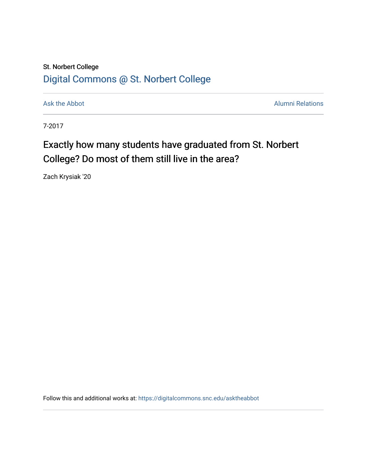## St. Norbert College [Digital Commons @ St. Norbert College](https://digitalcommons.snc.edu/)

[Ask the Abbot](https://digitalcommons.snc.edu/asktheabbot) **Alumni Relations** Alumni Relations

7-2017

## Exactly how many students have graduated from St. Norbert College? Do most of them still live in the area?

Zach Krysiak '20

Follow this and additional works at: [https://digitalcommons.snc.edu/asktheabbot](https://digitalcommons.snc.edu/asktheabbot?utm_source=digitalcommons.snc.edu%2Fasktheabbot%2F130&utm_medium=PDF&utm_campaign=PDFCoverPages)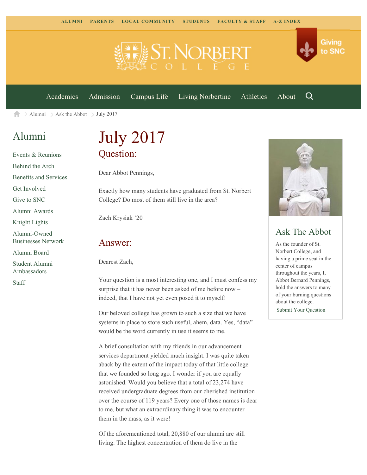

[Academics](https://www.snc.edu/academics) [Admission](https://www.snc.edu/admission) [Campus Life](https://www.snc.edu/campuslife) [Living Norbertine](https://www.snc.edu/livingnorbertine) [Athletics](https://www.snc.edu/athletics) [About](https://www.snc.edu/about)

Q

Giving

to SNC

 $\geq$  [Alumni](https://www.snc.edu/alumni/)  $\geq$  [Ask the Abbot](https://www.snc.edu/alumni/abbot/)  $\geq$  July 2017 合

## [Alumni](https://www.snc.edu/alumni/index.html)

[Events & Reunions](https://www.snc.edu/alumni/event/index.html) [Behind the Arch](https://www.snc.edu/alumni/event/behindthearch/) [Benefits and Services](https://www.snc.edu/alumni/benefits.html) [Get Involved](https://www.snc.edu/alumni/getinvolved.html) [Give to SNC](http://giving.snc.edu/) [Alumni Awards](https://www.snc.edu/alumni/awards/index.html) [Knight Lights](https://www.snc.edu/alumni/knightlights/index.html) [Alumni-Owned](https://www.snc.edu/alumni/directory/index.html) [Businesses Network](https://www.snc.edu/alumni/directory/index.html) [Alumni Board](https://www.snc.edu/alumni/alumniboard.html) [Student Alumni](https://www.snc.edu/alumni/saa.html) [Ambassadors](https://www.snc.edu/alumni/saa.html)

[Staff](https://www.snc.edu/alumni/contactus.html)

# July 2017 Question:

Dear Abbot Pennings,

Exactly how many students have graduated from St. Norbert College? Do most of them still live in the area?

Zach Krysiak '20

#### Answer:

Dearest Zach,

Your question is a most interesting one, and I must confess my surprise that it has never been asked of me before now – indeed, that I have not yet even posed it to myself!

Our beloved college has grown to such a size that we have systems in place to store such useful, ahem, data. Yes, "data" would be the word currently in use it seems to me.

A brief consultation with my friends in our advancement services department yielded much insight. I was quite taken aback by the extent of the impact today of that little college that we founded so long ago. I wonder if you are equally astonished. Would you believe that a total of 23,274 have received undergraduate degrees from our cherished institution over the course of 119 years? Every one of those names is dear to me, but what an extraordinary thing it was to encounter them in the mass, as it were!

Of the aforementioned total, 20,880 of our alumni are still living. The highest concentration of them do live in the



### Ask The Abbot

As the founder of St. Norbert College, and having a prime seat in the center of campus throughout the years, I, Abbot Bernard Pennings, hold the answers to many of your burning questions about the college.

[Submit Your Question](https://www.snc.edu/alumni/abbot/index.html)